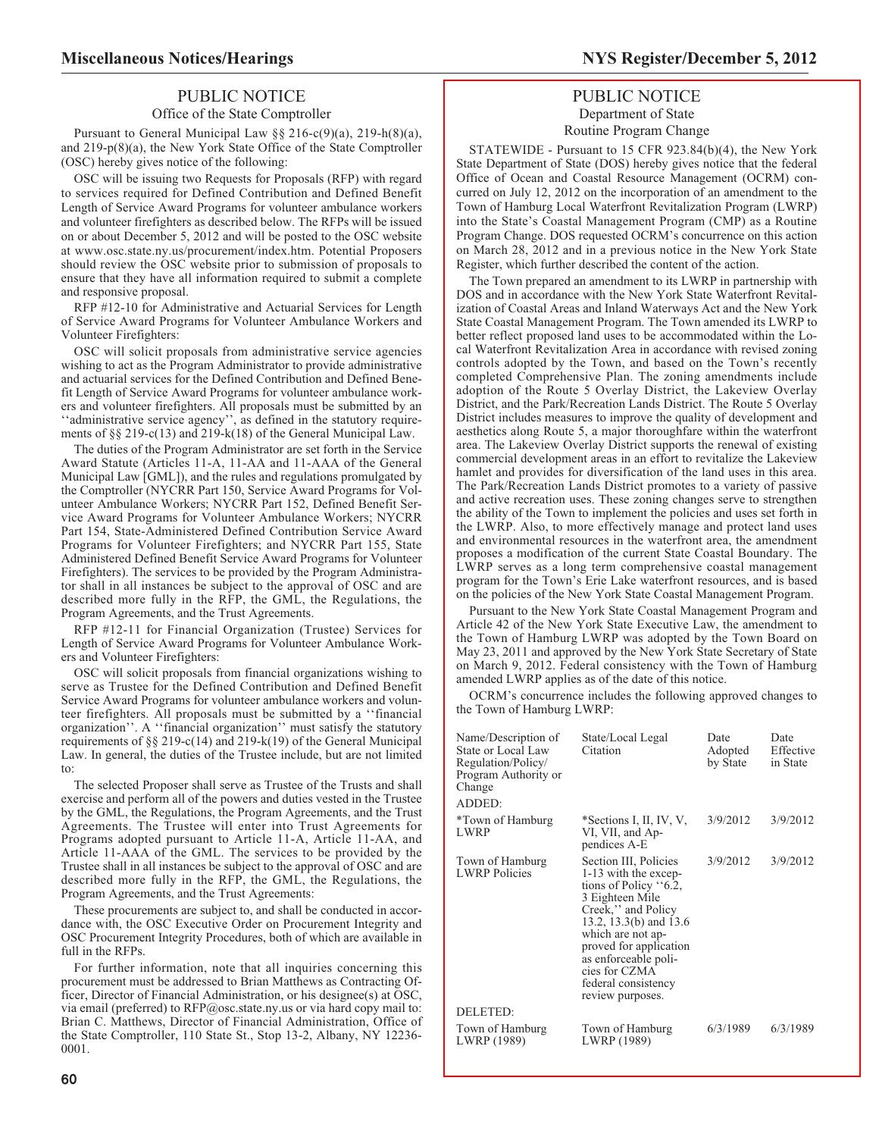# PUBLIC NOTICE

## Office of the State Comptroller

Pursuant to General Municipal Law §§ 216-c(9)(a), 219-h(8)(a), and 219-p(8)(a), the New York State Office of the State Comptroller (OSC) hereby gives notice of the following:

OSC will be issuing two Requests for Proposals (RFP) with regard to services required for Defined Contribution and Defined Benefit Length of Service Award Programs for volunteer ambulance workers and volunteer firefighters as described below. The RFPs will be issued on or about December 5, 2012 and will be posted to the OSC website at www.osc.state.ny.us/procurement/index.htm. Potential Proposers should review the OSC website prior to submission of proposals to ensure that they have all information required to submit a complete and responsive proposal.

RFP #12-10 for Administrative and Actuarial Services for Length of Service Award Programs for Volunteer Ambulance Workers and Volunteer Firefighters:

OSC will solicit proposals from administrative service agencies wishing to act as the Program Administrator to provide administrative and actuarial services for the Defined Contribution and Defined Benefit Length of Service Award Programs for volunteer ambulance workers and volunteer firefighters. All proposals must be submitted by an ''administrative service agency'', as defined in the statutory requirements of §§ 219-c(13) and 219-k(18) of the General Municipal Law.

The duties of the Program Administrator are set forth in the Service Award Statute (Articles 11-A, 11-AA and 11-AAA of the General Municipal Law [GML]), and the rules and regulations promulgated by the Comptroller (NYCRR Part 150, Service Award Programs for Volunteer Ambulance Workers; NYCRR Part 152, Defined Benefit Service Award Programs for Volunteer Ambulance Workers; NYCRR Part 154, State-Administered Defined Contribution Service Award Programs for Volunteer Firefighters; and NYCRR Part 155, State Administered Defined Benefit Service Award Programs for Volunteer Firefighters). The services to be provided by the Program Administrator shall in all instances be subject to the approval of OSC and are described more fully in the RFP, the GML, the Regulations, the Program Agreements, and the Trust Agreements.

RFP #12-11 for Financial Organization (Trustee) Services for Length of Service Award Programs for Volunteer Ambulance Workers and Volunteer Firefighters:

OSC will solicit proposals from financial organizations wishing to serve as Trustee for the Defined Contribution and Defined Benefit Service Award Programs for volunteer ambulance workers and volunteer firefighters. All proposals must be submitted by a ''financial organization''. A ''financial organization'' must satisfy the statutory requirements of §§ 219-c(14) and 219-k(19) of the General Municipal Law. In general, the duties of the Trustee include, but are not limited to:

The selected Proposer shall serve as Trustee of the Trusts and shall exercise and perform all of the powers and duties vested in the Trustee by the GML, the Regulations, the Program Agreements, and the Trust Agreements. The Trustee will enter into Trust Agreements for Programs adopted pursuant to Article 11-A, Article 11-AA, and Article 11-AAA of the GML. The services to be provided by the Trustee shall in all instances be subject to the approval of OSC and are described more fully in the RFP, the GML, the Regulations, the Program Agreements, and the Trust Agreements:

These procurements are subject to, and shall be conducted in accordance with, the OSC Executive Order on Procurement Integrity and OSC Procurement Integrity Procedures, both of which are available in full in the RFPs.

For further information, note that all inquiries concerning this procurement must be addressed to Brian Matthews as Contracting Officer, Director of Financial Administration, or his designee(s) at OSC, via email (preferred) to RFP@osc.state.ny.us or via hard copy mail to: Brian C. Matthews, Director of Financial Administration, Office of the State Comptroller, 110 State St., Stop 13-2, Albany, NY 12236- 0001.

# **Miscellaneous Notices/Hearings NYS Register/December 5, 2012**

# PUBLIC NOTICE Department of State Routine Program Change

STATEWIDE - Pursuant to 15 CFR 923.84(b)(4), the New York State Department of State (DOS) hereby gives notice that the federal Office of Ocean and Coastal Resource Management (OCRM) concurred on July 12, 2012 on the incorporation of an amendment to the Town of Hamburg Local Waterfront Revitalization Program (LWRP) into the State's Coastal Management Program (CMP) as a Routine Program Change. DOS requested OCRM's concurrence on this action on March 28, 2012 and in a previous notice in the New York State Register, which further described the content of the action.

The Town prepared an amendment to its LWRP in partnership with DOS and in accordance with the New York State Waterfront Revitalization of Coastal Areas and Inland Waterways Act and the New York State Coastal Management Program. The Town amended its LWRP to better reflect proposed land uses to be accommodated within the Local Waterfront Revitalization Area in accordance with revised zoning controls adopted by the Town, and based on the Town's recently completed Comprehensive Plan. The zoning amendments include adoption of the Route 5 Overlay District, the Lakeview Overlay District, and the Park/Recreation Lands District. The Route 5 Overlay District includes measures to improve the quality of development and aesthetics along Route 5, a major thoroughfare within the waterfront area. The Lakeview Overlay District supports the renewal of existing commercial development areas in an effort to revitalize the Lakeview hamlet and provides for diversification of the land uses in this area. The Park/Recreation Lands District promotes to a variety of passive and active recreation uses. These zoning changes serve to strengthen the ability of the Town to implement the policies and uses set forth in the LWRP. Also, to more effectively manage and protect land uses and environmental resources in the waterfront area, the amendment proposes a modification of the current State Coastal Boundary. The LWRP serves as a long term comprehensive coastal management program for the Town's Erie Lake waterfront resources, and is based on the policies of the New York State Coastal Management Program.

Pursuant to the New York State Coastal Management Program and Article 42 of the New York State Executive Law, the amendment to the Town of Hamburg LWRP was adopted by the Town Board on May 23, 2011 and approved by the New York State Secretary of State on March 9, 2012. Federal consistency with the Town of Hamburg amended LWRP applies as of the date of this notice.

OCRM's concurrence includes the following approved changes to the Town of Hamburg LWRP:

| Name/Description of<br>State or Local Law<br>Regulation/Policy/<br>Program Authority or<br>Change<br>ADDED: | State/Local Legal<br>Citation                                                                                                                                                                                                                                                   | Date<br>Adopted<br>by State | Date<br>Effective<br>in State |
|-------------------------------------------------------------------------------------------------------------|---------------------------------------------------------------------------------------------------------------------------------------------------------------------------------------------------------------------------------------------------------------------------------|-----------------------------|-------------------------------|
| <i>*Town of Hamburg</i><br><b>LWRP</b>                                                                      | *Sections I, II, IV, V,<br>VI, VII, and Ap-<br>pendices A-E                                                                                                                                                                                                                     | 3/9/2012                    | 3/9/2012                      |
| Town of Hamburg<br><b>LWRP</b> Policies                                                                     | Section III, Policies<br>1-13 with the excep-<br>tions of Policy $.6.2$ ,<br>3 Eighteen Mile<br>Creek," and Policy<br>13.2, 13.3(b) and 13.6<br>which are not ap-<br>proved for application<br>as enforceable poli-<br>cies for CZMA<br>federal consistency<br>review purposes. | 3/9/2012                    | 3/9/2012                      |
| DELETED:                                                                                                    |                                                                                                                                                                                                                                                                                 |                             |                               |
| Town of Hamburg<br>LWRP (1989)                                                                              | Town of Hamburg<br>LWRP (1989)                                                                                                                                                                                                                                                  | 6/3/1989                    | 6/3/1989                      |